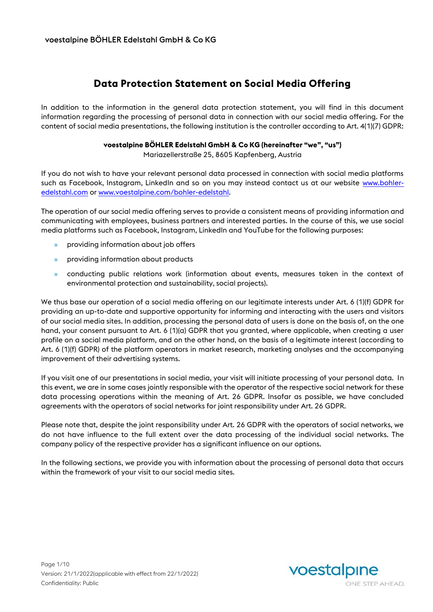# **Data Protection Statement on Social Media Offering**

In addition to the information in the general data protection statement, you will find in this document information regarding the processing of personal data in connection with our social media offering. For the content of social media presentations, the following institution is the controller according to Art. 4(1)(7) GDPR:

#### **voestalpine BÖHLER Edelstahl GmbH & Co KG (hereinafter "we", "us")**

Mariazellerstraße 25, 8605 Kapfenberg, Austria

If you do not wish to have your relevant personal data processed in connection with social media platforms such as Facebook, Instagram, LinkedIn and so on you may instead contact us at our website [www.bohler](http://www.bohler-edelstahl.com/)[edelstahl.com](http://www.bohler-edelstahl.com/) or [www.voestalpine.com/bohler-edelstahl.](http://www.voestalpine.com/bohler-edelstahl)

The operation of our social media offering serves to provide a consistent means of providing information and communicating with employees, business partners and interested parties. In the course of this, we use social media platforms such as Facebook, Instagram, LinkedIn and YouTube for the following purposes:

- » providing information about job offers
- » providing information about products
- » conducting public relations work (information about events, measures taken in the context of environmental protection and sustainability, social projects).

We thus base our operation of a social media offering on our legitimate interests under Art. 6 (1)(f) GDPR for providing an up-to-date and supportive opportunity for informing and interacting with the users and visitors of our social media sites. In addition, processing the personal data of users is done on the basis of, on the one hand, your consent pursuant to Art. 6 (1)(a) GDPR that you granted, where applicable, when creating a user profile on a social media platform, and on the other hand, on the basis of a legitimate interest (according to Art. 6 (1)(f) GDPR) of the platform operators in market research, marketing analyses and the accompanying improvement of their advertising systems.

If you visit one of our presentations in social media, your visit will initiate processing of your personal data. In this event, we are in some cases jointly responsible with the operator of the respective social network for these data processing operations within the meaning of Art. 26 GDPR. Insofar as possible, we have concluded agreements with the operators of social networks for joint responsibility under Art. 26 GDPR.

Please note that, despite the joint responsibility under Art. 26 GDPR with the operators of social networks, we do not have influence to the full extent over the data processing of the individual social networks. The company policy of the respective provider has a significant influence on our options.

In the following sections, we provide you with information about the processing of personal data that occurs within the framework of your visit to our social media sites.



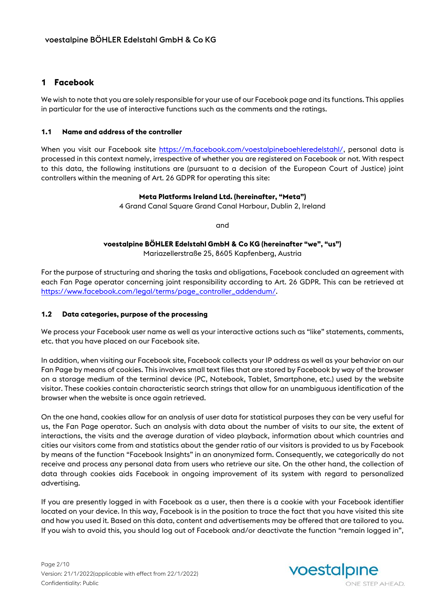### **1 Facebook**

We wish to note that you are solely responsible for your use of our Facebook page and its functions. This applies in particular for the use of interactive functions such as the comments and the ratings.

#### **1.1 Name and address of the controller**

When you visit our Facebook site [https://m.facebook.com/voestalpineboehleredelstahl/,](https://m.facebook.com/voestalpineboehleredelstahl/) personal data is processed in this context namely, irrespective of whether you are registered on Facebook or not. With respect to this data, the following institutions are (pursuant to a decision of the European Court of Justice) joint controllers within the meaning of Art. 26 GDPR for operating this site:

#### **Meta Platforms Ireland Ltd. (hereinafter, "Meta")**

4 Grand Canal Square Grand Canal Harbour, Dublin 2, Ireland

and

# **voestalpine BÖHLER Edelstahl GmbH & Co KG (hereinafter "we", "us")**

Mariazellerstraße 25, 8605 Kapfenberg, Austria

For the purpose of structuring and sharing the tasks and obligations, Facebook concluded an agreement with each Fan Page operator concerning joint responsibility according to Art. 26 GDPR. This can be retrieved at [https://www.facebook.com/legal/terms/page\\_controller\\_addendum/.](https://www.facebook.com/legal/terms/page_controller_addendum/)

#### **1.2 Data categories, purpose of the processing**

We process your Facebook user name as well as your interactive actions such as "like" statements, comments, etc. that you have placed on our Facebook site.

In addition, when visiting our Facebook site, Facebook collects your IP address as well as your behavior on our Fan Page by means of cookies. This involves small text files that are stored by Facebook by way of the browser on a storage medium of the terminal device (PC, Notebook, Tablet, Smartphone, etc.) used by the website visitor. These cookies contain characteristic search strings that allow for an unambiguous identification of the browser when the website is once again retrieved.

On the one hand, cookies allow for an analysis of user data for statistical purposes they can be very useful for us, the Fan Page operator. Such an analysis with data about the number of visits to our site, the extent of interactions, the visits and the average duration of video playback, information about which countries and cities our visitors come from and statistics about the gender ratio of our visitors is provided to us by Facebook by means of the function "Facebook Insights" in an anonymized form. Consequently, we categorically do not receive and process any personal data from users who retrieve our site. On the other hand, the collection of data through cookies aids Facebook in ongoing improvement of its system with regard to personalized advertising.

If you are presently logged in with Facebook as a user, then there is a cookie with your Facebook identifier located on your device. In this way, Facebook is in the position to trace the fact that you have visited this site and how you used it. Based on this data, content and advertisements may be offered that are tailored to you. If you wish to avoid this, you should log out of Facebook and/or deactivate the function "remain logged in",

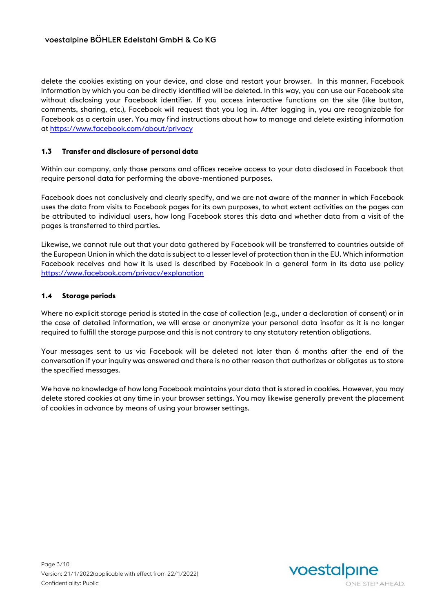delete the cookies existing on your device, and close and restart your browser. In this manner, Facebook information by which you can be directly identified will be deleted. In this way, you can use our Facebook site without disclosing your Facebook identifier. If you access interactive functions on the site (like button, comments, sharing, etc.), Facebook will request that you log in. After logging in, you are recognizable for Facebook as a certain user. You may find instructions about how to manage and delete existing information at<https://www.facebook.com/about/privacy>

#### **1.3 Transfer and disclosure of personal data**

Within our company, only those persons and offices receive access to your data disclosed in Facebook that require personal data for performing the above-mentioned purposes.

Facebook does not conclusively and clearly specify, and we are not aware of the manner in which Facebook uses the data from visits to Facebook pages for its own purposes, to what extent activities on the pages can be attributed to individual users, how long Facebook stores this data and whether data from a visit of the pages is transferred to third parties.

Likewise, we cannot rule out that your data gathered by Facebook will be transferred to countries outside of the European Union in which the data is subject to a lesser level of protection than in the EU. Which information Facebook receives and how it is used is described by Facebook in a general form in its data use policy <https://www.facebook.com/privacy/explanation>

#### **1.4 Storage periods**

Where no explicit storage period is stated in the case of collection (e.g., under a declaration of consent) or in the case of detailed information, we will erase or anonymize your personal data insofar as it is no longer required to fulfill the storage purpose and this is not contrary to any statutory retention obligations.

Your messages sent to us via Facebook will be deleted not later than 6 months after the end of the conversation if your inquiry was answered and there is no other reason that authorizes or obligates us to store the specified messages.

We have no knowledge of how long Facebook maintains your data that is stored in cookies. However, you may delete stored cookies at any time in your browser settings. You may likewise generally prevent the placement of cookies in advance by means of using your browser settings.

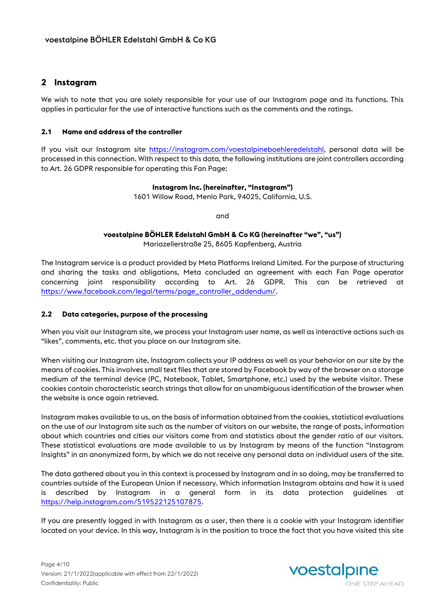## **2 Instagram**

We wish to note that you are solely responsible for your use of our Instagram page and its functions. This applies in particular for the use of interactive functions such as the comments and the ratings.

#### **2.1 Name and address of the controller**

If you visit our Instagram site [https://instagram.com/voestalpineboehleredelstahl,](https://instagram.com/voestalpineboehleredelstahl) personal data will be processed in this connection. With respect to this data, the following institutions are joint controllers according to Art. 26 GDPR responsible for operating this Fan Page:

#### **Instagram Inc. (hereinafter, "Instagram")**

1601 Willow Road, Menlo Park, 94025, California, U.S.

and

# **voestalpine BÖHLER Edelstahl GmbH & Co KG (hereinafter "we", "us")**

Mariazellerstraße 25, 8605 Kapfenberg, Austria

The Instagram service is a product provided by Meta Platforms Ireland Limited. For the purpose of structuring and sharing the tasks and obligations, Meta concluded an agreement with each Fan Page operator concerning joint responsibility according to Art. 26 GDPR. This can be retrieved at [https://www.facebook.com/legal/terms/page\\_controller\\_addendum/.](https://www.facebook.com/legal/terms/page_controller_addendum/)

#### **2.2 Data categories, purpose of the processing**

When you visit our Instagram site, we process your Instagram user name, as well as interactive actions such as "likes", comments, etc. that you place on our Instagram site.

When visiting our Instagram site, Instagram collects your IP address as well as your behavior on our site by the means of cookies. This involves small text files that are stored by Facebook by way of the browser on a storage medium of the terminal device (PC, Notebook, Tablet, Smartphone, etc.) used by the website visitor. These cookies contain characteristic search strings that allow for an unambiguous identification of the browser when the website is once again retrieved.

Instagram makes available to us, on the basis of information obtained from the cookies, statistical evaluations on the use of our Instagram site such as the number of visitors on our website, the range of posts, information about which countries and cities our visitors come from and statistics about the gender ratio of our visitors. These statistical evaluations are made available to us by Instagram by means of the function "Instagram Insights" in an anonymized form, by which we do not receive any personal data on individual users of the site.

The data gathered about you in this context is processed by Instagram and in so doing, may be transferred to countries outside of the European Union if necessary. Which information Instagram obtains and how it is used is described by Instagram in a general form in its data protection guidelines at [https://help.instagram.com/519522125107875.](https://help.instagram.com/519522125107875) 

If you are presently logged in with Instagram as a user, then there is a cookie with your Instagram identifier located on your device. In this way, Instagram is in the position to trace the fact that you have visited this site

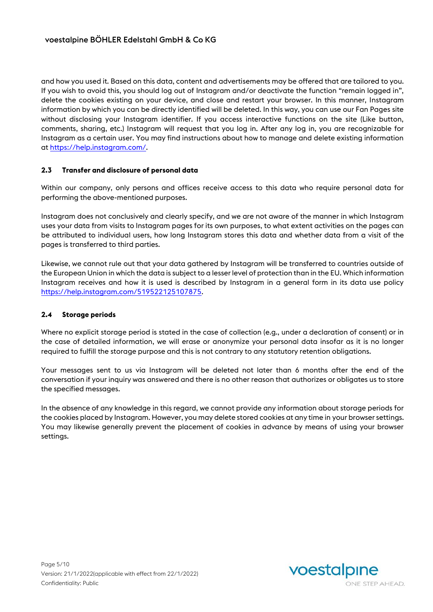and how you used it. Based on this data, content and advertisements may be offered that are tailored to you. If you wish to avoid this, you should log out of Instagram and/or deactivate the function "remain logged in", delete the cookies existing on your device, and close and restart your browser. In this manner, Instagram information by which you can be directly identified will be deleted. In this way, you can use our Fan Pages site without disclosing your Instagram identifier. If you access interactive functions on the site (Like button, comments, sharing, etc.) Instagram will request that you log in. After any log in, you are recognizable for Instagram as a certain user. You may find instructions about how to manage and delete existing information at [https://help.instagram.com/.](https://help.instagram.com/)

#### **2.3 Transfer and disclosure of personal data**

Within our company, only persons and offices receive access to this data who require personal data for performing the above-mentioned purposes.

Instagram does not conclusively and clearly specify, and we are not aware of the manner in which Instagram uses your data from visits to Instagram pages for its own purposes, to what extent activities on the pages can be attributed to individual users, how long Instagram stores this data and whether data from a visit of the pages is transferred to third parties.

Likewise, we cannot rule out that your data gathered by Instagram will be transferred to countries outside of the European Union in which the data is subject to a lesser level of protection than in the EU. Which information Instagram receives and how it is used is described by Instagram in a general form in its data use policy [https://help.instagram.com/519522125107875.](https://help.instagram.com/519522125107875) 

#### **2.4 Storage periods**

Where no explicit storage period is stated in the case of collection (e.g., under a declaration of consent) or in the case of detailed information, we will erase or anonymize your personal data insofar as it is no longer required to fulfill the storage purpose and this is not contrary to any statutory retention obligations.

Your messages sent to us via Instagram will be deleted not later than 6 months after the end of the conversation if your inquiry was answered and there is no other reason that authorizes or obligates us to store the specified messages.

In the absence of any knowledge in this regard, we cannot provide any information about storage periods for the cookies placed by Instagram. However, you may delete stored cookies at any time in your browser settings. You may likewise generally prevent the placement of cookies in advance by means of using your browser settings.

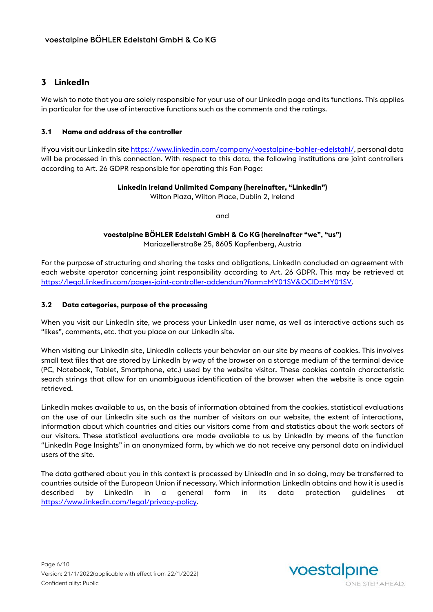## **3 LinkedIn**

We wish to note that you are solely responsible for your use of our LinkedIn page and its functions. This applies in particular for the use of interactive functions such as the comments and the ratings.

#### **3.1 Name and address of the controller**

If you visit our LinkedIn site [https://www.linkedin.com/company/voestalpine-bohler-edelstahl/,](https://www.linkedin.com/company/voestalpine-bohler-edelstahl/) personal data will be processed in this connection. With respect to this data, the following institutions are joint controllers according to Art. 26 GDPR responsible for operating this Fan Page:

#### **LinkedIn Ireland Unlimited Company (hereinafter, "LinkedIn")**

Wilton Plaza, Wilton Place, Dublin 2, Ireland

and

#### **voestalpine BÖHLER Edelstahl GmbH & Co KG (hereinafter "we", "us")** Mariazellerstraße 25, 8605 Kapfenberg, Austria

For the purpose of structuring and sharing the tasks and obligations, LinkedIn concluded an agreement with each website operator concerning joint responsibility according to Art. 26 GDPR. This may be retrieved at [https://legal.linkedin.com/pages-joint-controller-addendum?form=MY01SV&OCID=MY01SV.](https://legal.linkedin.com/pages-joint-controller-addendum?form=MY01SV&OCID=MY01SV)

#### **3.2 Data categories, purpose of the processing**

When you visit our LinkedIn site, we process your LinkedIn user name, as well as interactive actions such as "likes", comments, etc. that you place on our LinkedIn site.

When visiting our LinkedIn site, LinkedIn collects your behavior on our site by means of cookies. This involves small text files that are stored by LinkedIn by way of the browser on a storage medium of the terminal device (PC, Notebook, Tablet, Smartphone, etc.) used by the website visitor. These cookies contain characteristic search strings that allow for an unambiguous identification of the browser when the website is once again retrieved.

LinkedIn makes available to us, on the basis of information obtained from the cookies, statistical evaluations on the use of our LinkedIn site such as the number of visitors on our website, the extent of interactions, information about which countries and cities our visitors come from and statistics about the work sectors of our visitors. These statistical evaluations are made available to us by LinkedIn by means of the function "LinkedIn Page Insights" in an anonymized form, by which we do not receive any personal data on individual users of the site.

The data gathered about you in this context is processed by LinkedIn and in so doing, may be transferred to countries outside of the European Union if necessary. Which information LinkedIn obtains and how it is used is described by LinkedIn in a general form in its data protection guidelines at [https://www.linkedin.com/legal/privacy-policy.](https://www.linkedin.com/legal/privacy-policy)

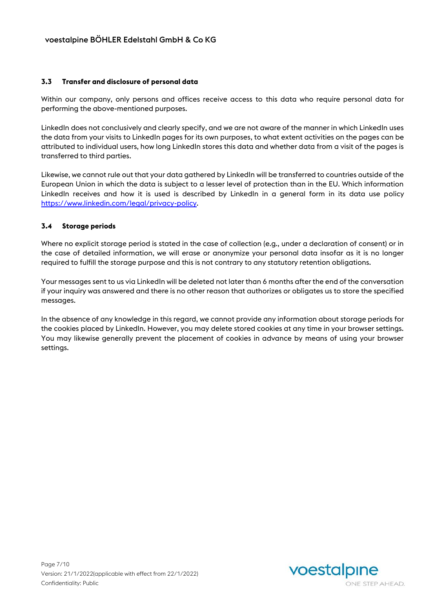#### **3.3 Transfer and disclosure of personal data**

Within our company, only persons and offices receive access to this data who require personal data for performing the above-mentioned purposes.

LinkedIn does not conclusively and clearly specify, and we are not aware of the manner in which LinkedIn uses the data from your visits to LinkedIn pages for its own purposes, to what extent activities on the pages can be attributed to individual users, how long LinkedIn stores this data and whether data from a visit of the pages is transferred to third parties.

Likewise, we cannot rule out that your data gathered by LinkedIn will be transferred to countries outside of the European Union in which the data is subject to a lesser level of protection than in the EU. Which information LinkedIn receives and how it is used is described by LinkedIn in a general form in its data use policy [https://www.linkedin.com/legal/privacy-policy.](https://www.linkedin.com/legal/privacy-policy)

#### **3.4 Storage periods**

Where no explicit storage period is stated in the case of collection (e.g., under a declaration of consent) or in the case of detailed information, we will erase or anonymize your personal data insofar as it is no longer required to fulfill the storage purpose and this is not contrary to any statutory retention obligations.

Your messages sent to us via LinkedIn will be deleted not later than 6 months after the end of the conversation if your inquiry was answered and there is no other reason that authorizes or obligates us to store the specified messages.

In the absence of any knowledge in this regard, we cannot provide any information about storage periods for the cookies placed by LinkedIn. However, you may delete stored cookies at any time in your browser settings. You may likewise generally prevent the placement of cookies in advance by means of using your browser settings.

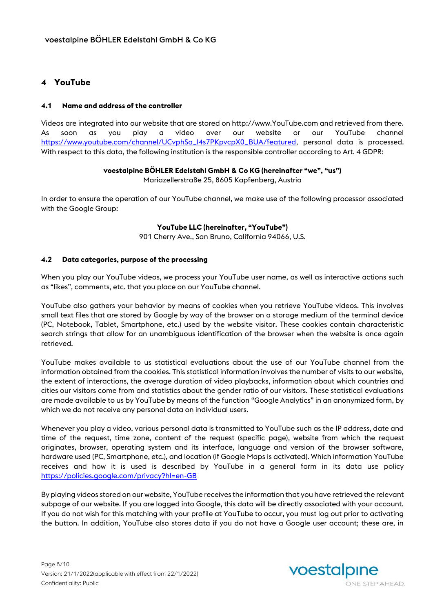## **4 YouTube**

#### **4.1 Name and address of the controller**

Videos are integrated into our website that are stored on http://www.YouTube.com and retrieved from there. As soon as you play a video over our website or our YouTube channel [https://www.youtube.com/channel/UCvphSa\\_l4s7PKpvcpX0\\_BUA/featured,](https://www.youtube.com/channel/UCvphSa_l4s7PKpvcpX0_BUA/featured) personal data is processed. With respect to this data, the following institution is the responsible controller according to Art. 4 GDPR:

#### **voestalpine BÖHLER Edelstahl GmbH & Co KG (hereinafter "we", "us")**

Mariazellerstraße 25, 8605 Kapfenberg, Austria

In order to ensure the operation of our YouTube channel, we make use of the following processor associated with the Google Group:

#### **YouTube LLC (hereinafter, "YouTube")**

901 Cherry Ave., San Bruno, California 94066, U.S.

#### **4.2 Data categories, purpose of the processing**

When you play our YouTube videos, we process your YouTube user name, as well as interactive actions such as "likes", comments, etc. that you place on our YouTube channel.

YouTube also gathers your behavior by means of cookies when you retrieve YouTube videos. This involves small text files that are stored by Google by way of the browser on a storage medium of the terminal device (PC, Notebook, Tablet, Smartphone, etc.) used by the website visitor. These cookies contain characteristic search strings that allow for an unambiguous identification of the browser when the website is once again retrieved.

YouTube makes available to us statistical evaluations about the use of our YouTube channel from the information obtained from the cookies. This statistical information involves the number of visits to our website, the extent of interactions, the average duration of video playbacks, information about which countries and cities our visitors come from and statistics about the gender ratio of our visitors. These statistical evaluations are made available to us by YouTube by means of the function "Google Analytics" in an anonymized form, by which we do not receive any personal data on individual users.

Whenever you play a video, various personal data is transmitted to YouTube such as the IP address, date and time of the request, time zone, content of the request (specific page), website from which the request originates, browser, operating system and its interface, language and version of the browser software, hardware used (PC, Smartphone, etc.), and location (if Google Maps is activated). Which information YouTube receives and how it is used is described by YouTube in a general form in its data use policy <https://policies.google.com/privacy?hl=en-GB>

By playing videos stored on our website, YouTube receives the information that you have retrieved the relevant subpage of our website. If you are logged into Google, this data will be directly associated with your account. If you do not wish for this matching with your profile at YouTube to occur, you must log out prior to activating the button. In addition, YouTube also stores data if you do not have a Google user account; these are, in

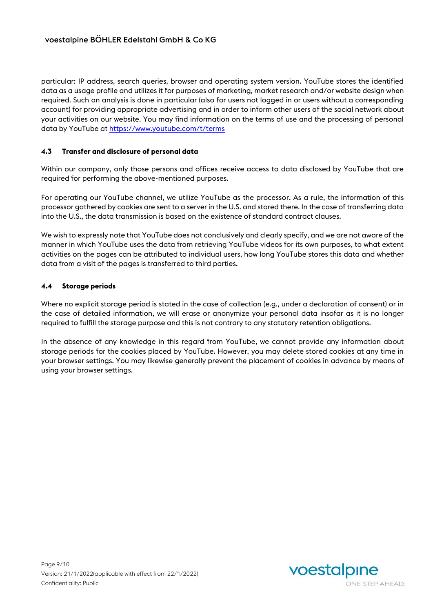particular: IP address, search queries, browser and operating system version. YouTube stores the identified data as a usage profile and utilizes it for purposes of marketing, market research and/or website design when required. Such an analysis is done in particular (also for users not logged in or users without a corresponding account) for providing appropriate advertising and in order to inform other users of the social network about your activities on our website. You may find information on the terms of use and the processing of personal data by YouTube at<https://www.youtube.com/t/terms>

#### **4.3 Transfer and disclosure of personal data**

Within our company, only those persons and offices receive access to data disclosed by YouTube that are required for performing the above-mentioned purposes.

For operating our YouTube channel, we utilize YouTube as the processor. As a rule, the information of this processor gathered by cookies are sent to a server in the U.S. and stored there. In the case of transferring data into the U.S., the data transmission is based on the existence of standard contract clauses.

We wish to expressly note that YouTube does not conclusively and clearly specify, and we are not aware of the manner in which YouTube uses the data from retrieving YouTube videos for its own purposes, to what extent activities on the pages can be attributed to individual users, how long YouTube stores this data and whether data from a visit of the pages is transferred to third parties.

#### **4.4 Storage periods**

Where no explicit storage period is stated in the case of collection (e.g., under a declaration of consent) or in the case of detailed information, we will erase or anonymize your personal data insofar as it is no longer required to fulfill the storage purpose and this is not contrary to any statutory retention obligations.

In the absence of any knowledge in this regard from YouTube, we cannot provide any information about storage periods for the cookies placed by YouTube. However, you may delete stored cookies at any time in your browser settings. You may likewise generally prevent the placement of cookies in advance by means of using your browser settings.